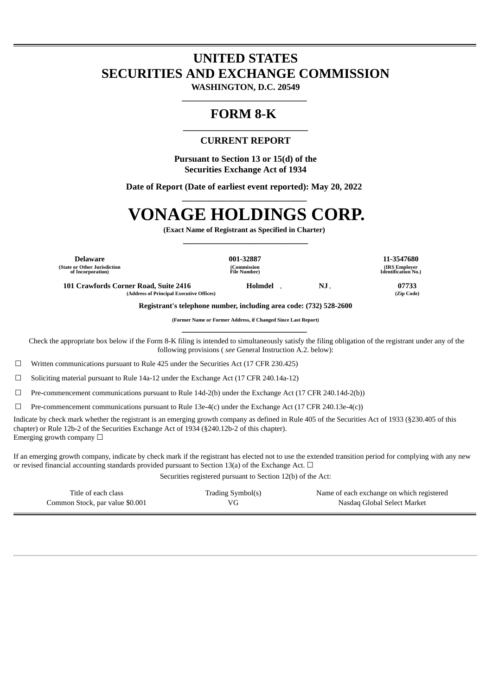## **UNITED STATES SECURITIES AND EXCHANGE COMMISSION**

**WASHINGTON, D.C. 20549 \_\_\_\_\_\_\_\_\_\_\_\_\_\_\_\_\_\_\_\_\_\_\_\_\_\_\_\_** 

## **FORM 8-K**

### **\_\_\_\_\_\_\_\_\_\_\_\_\_\_\_\_\_\_\_\_\_\_\_\_\_\_\_\_ CURRENT REPORT**

**Pursuant to Section 13 or 15(d) of the Securities Exchange Act of 1934**

**Date of Report (Date of earliest event reported): May 20, 2022 \_\_\_\_\_\_\_\_\_\_\_\_\_\_\_\_\_\_\_\_\_\_\_\_\_\_\_\_** 

# **VONAGE HOLDINGS CORP.**

**(Exact Name of Registrant as Specified in Charter) \_\_\_\_\_\_\_\_\_\_\_\_\_\_\_\_\_\_\_\_\_\_\_\_\_\_\_\_** 

**Delaware 001-32887 11-3547680 (State or Other Jurisdiction of Incorporation)**

**(Commission File Number)**

**(IRS Employer Identification No.)**

**101 Crawfords Corner Road, Suite 2416 Holmdel , NJ , 07733 (Address of Principal Executive Offices) (Zip Code)**

**Registrant's telephone number, including area code: (732) 528-2600**

**(Former Name or Former Address, if Changed Since Last Report) \_\_\_\_\_\_\_\_\_\_\_\_\_\_\_\_\_\_\_\_\_\_\_\_\_\_\_\_** 

Check the appropriate box below if the Form 8-K filing is intended to simultaneously satisfy the filing obligation of the registrant under any of the following provisions ( *see* General Instruction A.2. below):

☐ Written communications pursuant to Rule 425 under the Securities Act (17 CFR 230.425)

 $\Box$  Soliciting material pursuant to Rule 14a-12 under the Exchange Act (17 CFR 240.14a-12)

☐ Pre-commencement communications pursuant to Rule 14d-2(b) under the Exchange Act (17 CFR 240.14d-2(b))

 $\Box$  Pre-commencement communications pursuant to Rule 13e-4(c) under the Exchange Act (17 CFR 240.13e-4(c))

Indicate by check mark whether the registrant is an emerging growth company as defined in Rule 405 of the Securities Act of 1933 (§230.405 of this chapter) or Rule 12b-2 of the Securities Exchange Act of 1934 (§240.12b-2 of this chapter). Emerging growth company  $\Box$ 

If an emerging growth company, indicate by check mark if the registrant has elected not to use the extended transition period for complying with any new or revised financial accounting standards provided pursuant to Section 13(a) of the Exchange Act.  $\Box$ 

Securities registered pursuant to Section 12(b) of the Act:

| Title of each class             | Trading Symbol(s) | Name of each exchange on which registered |
|---------------------------------|-------------------|-------------------------------------------|
| Common Stock, par value \$0.001 | VG.               | Nasdag Global Select Market               |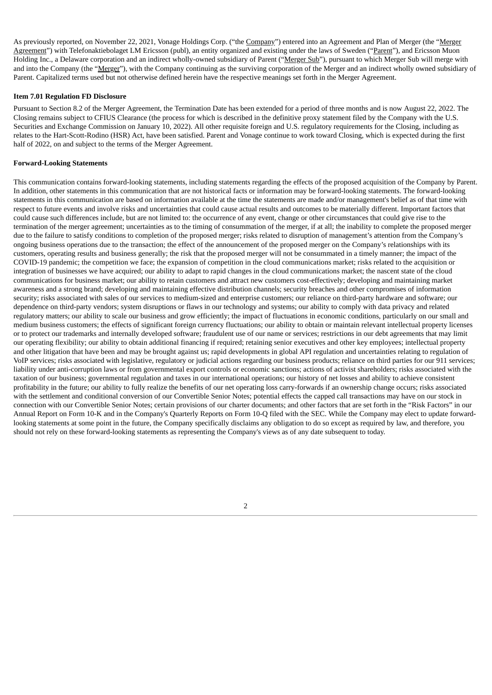As previously reported, on November 22, 2021, Vonage Holdings Corp. ("the Company") entered into an Agreement and Plan of Merger (the "Merger Agreement") with Telefonaktiebolaget LM Ericsson (publ), an entity organized and existing under the laws of Sweden ("Parent"), and Ericsson Muon Holding Inc., a Delaware corporation and an indirect wholly-owned subsidiary of Parent ("Merger Sub"), pursuant to which Merger Sub will merge with and into the Company (the "Merger"), with the Company continuing as the surviving corporation of the Merger and an indirect wholly owned subsidiary of Parent. Capitalized terms used but not otherwise defined herein have the respective meanings set forth in the Merger Agreement.

#### **Item 7.01 Regulation FD Disclosure**

Pursuant to Section 8.2 of the Merger Agreement, the Termination Date has been extended for a period of three months and is now August 22, 2022. The Closing remains subject to CFIUS Clearance (the process for which is described in the definitive proxy statement filed by the Company with the U.S. Securities and Exchange Commission on January 10, 2022). All other requisite foreign and U.S. regulatory requirements for the Closing, including as relates to the Hart-Scott-Rodino (HSR) Act, have been satisfied. Parent and Vonage continue to work toward Closing, which is expected during the first half of 2022, on and subject to the terms of the Merger Agreement.

### **Forward-Looking Statements**

This communication contains forward-looking statements, including statements regarding the effects of the proposed acquisition of the Company by Parent. In addition, other statements in this communication that are not historical facts or information may be forward-looking statements. The forward-looking statements in this communication are based on information available at the time the statements are made and/or management's belief as of that time with respect to future events and involve risks and uncertainties that could cause actual results and outcomes to be materially different. Important factors that could cause such differences include, but are not limited to: the occurrence of any event, change or other circumstances that could give rise to the termination of the merger agreement; uncertainties as to the timing of consummation of the merger, if at all; the inability to complete the proposed merger due to the failure to satisfy conditions to completion of the proposed merger; risks related to disruption of management's attention from the Company's ongoing business operations due to the transaction; the effect of the announcement of the proposed merger on the Company's relationships with its customers, operating results and business generally; the risk that the proposed merger will not be consummated in a timely manner; the impact of the COVID-19 pandemic; the competition we face; the expansion of competition in the cloud communications market; risks related to the acquisition or integration of businesses we have acquired; our ability to adapt to rapid changes in the cloud communications market; the nascent state of the cloud communications for business market; our ability to retain customers and attract new customers cost-effectively; developing and maintaining market awareness and a strong brand; developing and maintaining effective distribution channels; security breaches and other compromises of information security; risks associated with sales of our services to medium-sized and enterprise customers; our reliance on third-party hardware and software; our dependence on third-party vendors; system disruptions or flaws in our technology and systems; our ability to comply with data privacy and related regulatory matters; our ability to scale our business and grow efficiently; the impact of fluctuations in economic conditions, particularly on our small and medium business customers; the effects of significant foreign currency fluctuations; our ability to obtain or maintain relevant intellectual property licenses or to protect our trademarks and internally developed software; fraudulent use of our name or services; restrictions in our debt agreements that may limit our operating flexibility; our ability to obtain additional financing if required; retaining senior executives and other key employees; intellectual property and other litigation that have been and may be brought against us; rapid developments in global API regulation and uncertainties relating to regulation of VoIP services; risks associated with legislative, regulatory or judicial actions regarding our business products; reliance on third parties for our 911 services; liability under anti-corruption laws or from governmental export controls or economic sanctions; actions of activist shareholders; risks associated with the taxation of our business; governmental regulation and taxes in our international operations; our history of net losses and ability to achieve consistent profitability in the future; our ability to fully realize the benefits of our net operating loss carry-forwards if an ownership change occurs; risks associated with the settlement and conditional conversion of our Convertible Senior Notes; potential effects the capped call transactions may have on our stock in connection with our Convertible Senior Notes; certain provisions of our charter documents; and other factors that are set forth in the "Risk Factors" in our Annual Report on Form 10-K and in the Company's Quarterly Reports on Form 10-Q filed with the SEC. While the Company may elect to update forwardlooking statements at some point in the future, the Company specifically disclaims any obligation to do so except as required by law, and therefore, you should not rely on these forward-looking statements as representing the Company's views as of any date subsequent to today.